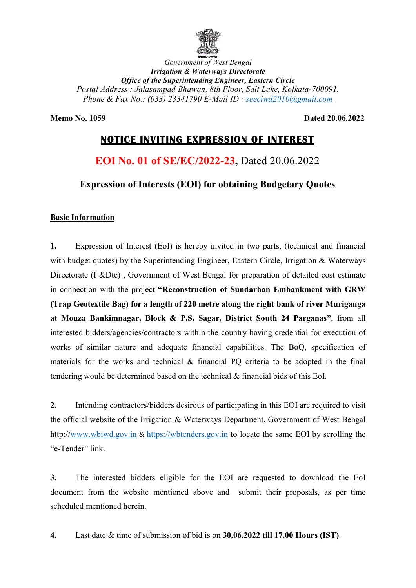

Office of the Superintending Engineer, Eastern Circle the Postal Address : Jalasampad Bhawan, 8th Floor, Salt Lake, Kolkata-700091. Phone & Fax No.: (033) 23341790 E-Mail ID : seeciwd2010@gmail.com Government of West Bengal Irrigation & Waterways Directorate

Memo No. 1059

Dated 20.06.2022

# NOTICE INVITING NOTICE INVITING EXPRESSION OF INTEREST

# EOI No. 01 of SE/EC/2022-23, Dated 20.06.2022

## Expression of Interests (EOI) for obtaining Budgetary Quotes

### Basic Information

1. Expression of Interest (EoI) is hereby invited in two parts, (technical and financial with budget quotes) by the Superintending Engineer, Eastern Circle, Irrigation & Waterways<br>Directorate (I &Dte), Government of West Bengal for preparation of detailed cost estimate Directorate (I &Dte) , Government of West Bengal for preparation of detailed cost estimate in connection with the project "Reconstruction of Sundarban Embankment with GRW (Trap Geotextile Bag) for a length of 220 metre along the right bank of river Muriganga in connection with the project "Reconstruction of Sundarban Embankment with GRW<br>(Trap Geotextile Bag) for a length of 220 metre along the right bank of river Muriganga<br>at Mouza Bankimnagar, Block & P.S. Sagar, District Sou interested bidders/agencies/contractors within the country having credential for execution of interested bidders/agencies/contractors within the country having credential for execution of works of similar nature and adequate financial capabilities. The BoQ, specification of materials for the works and technical & financial PQ criteria to be adopted in the f final tendering would be determined based on the technical & financial bids of this EoI.

2. Intending contractors/bidders desirous of participating in this EOI are required to visit materials for the works and technical & financial PQ criteria to be adopted in the final<br>tendering would be determined based on the technical & financial bids of this EoI.<br>2. Intending contractors/bidders desirous of parti http://www.wbiwd.gov.in & https://wbtenders.gov.in to locate the same EOI by scrolling the "e-Tender" link.

3. The interested bidders eligible for the EOI are requested to download the EoI document from the website mentioned above and submit their proposals, as per time scheduled mentioned herein.

4. Last date & time of submission of bid is on 30.06.2022 till 17.00 Hours (IST) .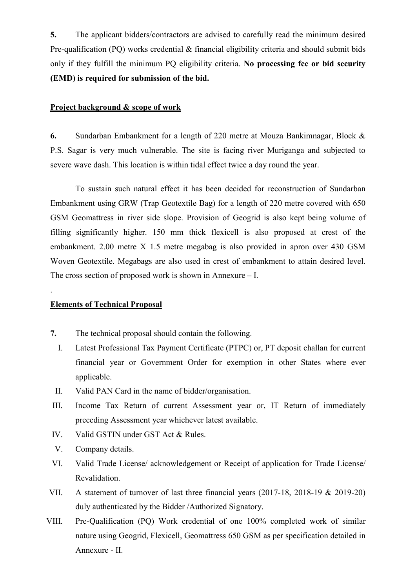5. The applicant bidders/contractors are advised to carefully read the minimum desired Pre-qualification (PQ) works credential & financial eligibility criteria and should submit bids only if they fulfill the minimum PQ eligibility criteria. No processing fee or bid security (EMD) is required for submission of the bid.

#### Project background & scope of work

6. Sundarban Embankment for a length of 220 metre at Mouza Bankimnagar, Block & P.S. Sagar is very much vulnerable. The site is facing river Muriganga and subjected to severe wave dash. This location is within tidal effect twice a day round the year.

 To sustain such natural effect it has been decided for reconstruction of Sundarban Embankment using GRW (Trap Geotextile Bag) for a length of 220 metre covered with 650 GSM Geomattress in river side slope. Provision of Geogrid is also kept being volume of filling significantly higher. 150 mm thick flexicell is also proposed at crest of the embankment. 2.00 metre X 1.5 metre megabag is also provided in apron over 430 GSM Woven Geotextile. Megabags are also used in crest of embankment to attain desired level. The cross section of proposed work is shown in Annexure – I.

#### Elements of Technical Proposal

.

- 7. The technical proposal should contain the following.
	- I. Latest Professional Tax Payment Certificate (PTPC) or, PT deposit challan for current financial year or Government Order for exemption in other States where ever applicable.
- II. Valid PAN Card in the name of bidder/organisation.
- III. Income Tax Return of current Assessment year or, IT Return of immediately preceding Assessment year whichever latest available.
- IV. Valid GSTIN under GST Act & Rules.
- V. Company details.
- VI. Valid Trade License/ acknowledgement or Receipt of application for Trade License/ Revalidation.
- VII. A statement of turnover of last three financial years (2017-18, 2018-19 & 2019-20) duly authenticated by the Bidder /Authorized Signatory.
- VIII. Pre-Qualification (PQ) Work credential of one 100% completed work of similar nature using Geogrid, Flexicell, Geomattress 650 GSM as per specification detailed in Annexure - II.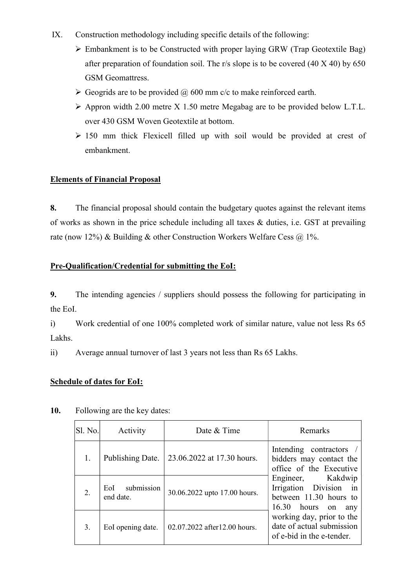- IX. Construction methodology including specific details of the following:
	- Embankment is to be Constructed with proper laying GRW (Trap Geotextile Bag) after preparation of foundation soil. The r/s slope is to be covered (40 X 40) by 650 GSM Geomattress.
	- $\triangleright$  Geogrids are to be provided  $\omega$  600 mm c/c to make reinforced earth.
	- $\triangleright$  Appron width 2.00 metre X 1.50 metre Megabag are to be provided below L.T.L. over 430 GSM Woven Geotextile at bottom.
	- $\geq$  150 mm thick Flexicell filled up with soil would be provided at crest of embankment.

#### Elements of Financial Proposal

8. The financial proposal should contain the budgetary quotes against the relevant items of works as shown in the price schedule including all taxes & duties, i.e. GST at prevailing rate (now 12%) & Building & other Construction Workers Welfare Cess  $\omega$  1%.

### Pre-Qualification/Credential for submitting the EoI:

9. The intending agencies / suppliers should possess the following for participating in the EoI.

i) Work credential of one 100% completed work of similar nature, value not less Rs 65 Lakhs.

ii) Average annual turnover of last 3 years not less than Rs 65 Lakhs.

#### Schedule of dates for EoI:

| Sl. No.          | Activity                       | Date & Time                  | Remarks                                                                                        |
|------------------|--------------------------------|------------------------------|------------------------------------------------------------------------------------------------|
| 1.               | Publishing Date.               | 23.06.2022 at 17.30 hours.   | Intending contractors /<br>bidders may contact the<br>office of the Executive                  |
| $\overline{2}$ . | submission<br>EoI<br>end date. | 30.06.2022 upto 17.00 hours. | Engineer, Kakdwip<br>Irrigation Division in<br>between 11.30 hours to<br>16.30 hours on<br>any |
| 3.               | EoI opening date.              | 02.07.2022 after12.00 hours. | working day, prior to the<br>date of actual submission<br>of e-bid in the e-tender.            |

#### 10. Following are the key dates: